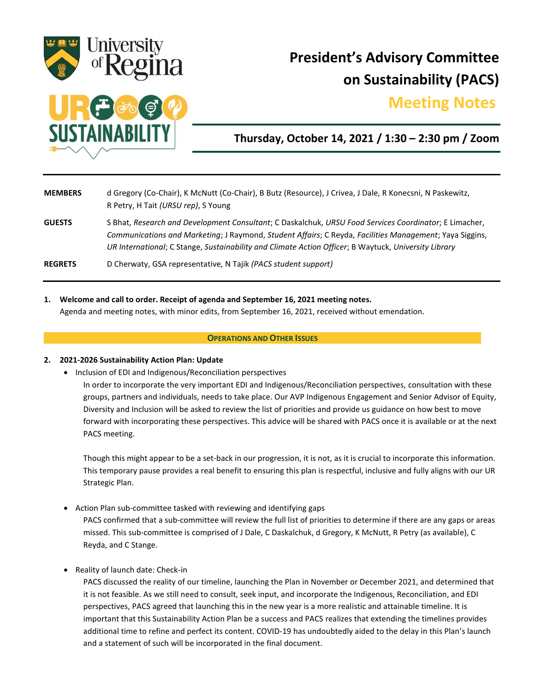

# **President's Advisory Committee on Sustainability (PACS)**

## **Meeting Notes.**



### **Thursday, October 14, 2021 / 1:30 – 2:30 pm / Zoom**

| <b>MEMBERS</b> | d Gregory (Co-Chair), K McNutt (Co-Chair), B Butz (Resource), J Crivea, J Dale, R Konecsni, N Paskewitz,<br>R Petry, H Tait (URSU rep), S Young                                                                                                                                                                           |
|----------------|---------------------------------------------------------------------------------------------------------------------------------------------------------------------------------------------------------------------------------------------------------------------------------------------------------------------------|
| <b>GUESTS</b>  | S Bhat, Research and Development Consultant; C Daskalchuk, URSU Food Services Coordinator; E Limacher,<br>Communications and Marketing; J Raymond, Student Affairs; C Reyda, Facilities Management; Yaya Siggins,<br>UR International; C Stange, Sustainability and Climate Action Officer; B Waytuck, University Library |
| <b>REGRETS</b> | D Cherwaty, GSA representative, N Tajik (PACS student support)                                                                                                                                                                                                                                                            |

**1. Welcome and call to order. Receipt of agenda and September 16, 2021 meeting notes.**

Agenda and meeting notes, with minor edits, from September 16, 2021, received without emendation.

#### **OPERATIONS AND OTHER ISSUES**

#### **2. 2021-2026 Sustainability Action Plan: Update**

• Inclusion of EDI and Indigenous/Reconciliation perspectives

In order to incorporate the very important EDI and Indigenous/Reconciliation perspectives, consultation with these groups, partners and individuals, needs to take place. Our AVP Indigenous Engagement and Senior Advisor of Equity, Diversity and Inclusion will be asked to review the list of priorities and provide us guidance on how best to move forward with incorporating these perspectives. This advice will be shared with PACS once it is available or at the next PACS meeting.

Though this might appear to be a set-back in our progression, it is not, as it is crucial to incorporate this information. This temporary pause provides a real benefit to ensuring this plan is respectful, inclusive and fully aligns with our UR Strategic Plan.

Action Plan sub-committee tasked with reviewing and identifying gaps

PACS confirmed that a sub-committee will review the full list of priorities to determine if there are any gaps or areas missed. This sub-committee is comprised of J Dale, C Daskalchuk, d Gregory, K McNutt, R Petry (as available), C Reyda, and C Stange.

• Reality of launch date: Check-in

PACS discussed the reality of our timeline, launching the Plan in November or December 2021, and determined that it is not feasible. As we still need to consult, seek input, and incorporate the Indigenous, Reconciliation, and EDI perspectives, PACS agreed that launching this in the new year is a more realistic and attainable timeline. It is important that this Sustainability Action Plan be a success and PACS realizes that extending the timelines provides additional time to refine and perfect its content. COVID-19 has undoubtedly aided to the delay in this Plan's launch and a statement of such will be incorporated in the final document.